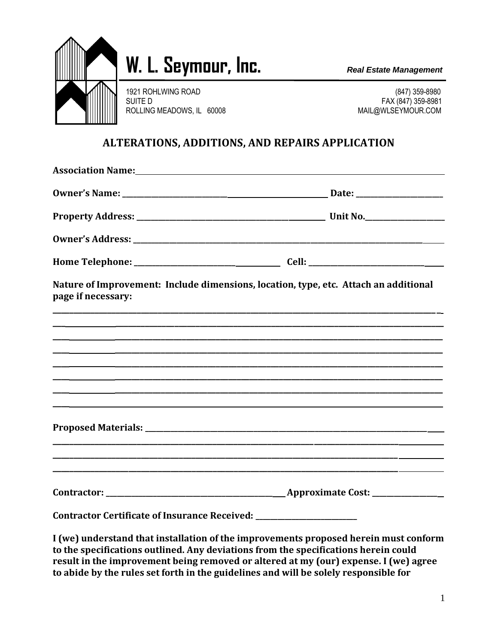

## W. L. Seymour, Inc. *Real Estate Management*

1921 ROHLWING ROAD (847) 359-8980 SUITE D FAX (847) 359-8981 ROLLING MEADOWS, IL 60008 MAIL@WLSEYMOUR.COM

## **ALTERATIONS, ADDITIONS, AND REPAIRS APPLICATION**

| <b>Association Name:</b> Association Name:                                       |                                                                                                                         |
|----------------------------------------------------------------------------------|-------------------------------------------------------------------------------------------------------------------------|
|                                                                                  |                                                                                                                         |
|                                                                                  |                                                                                                                         |
|                                                                                  |                                                                                                                         |
|                                                                                  |                                                                                                                         |
| page if necessary:                                                               | Nature of Improvement: Include dimensions, location, type, etc. Attach an additional                                    |
|                                                                                  |                                                                                                                         |
|                                                                                  | ,我们也不能不能会有什么。""我们的人,我们也不能会不能会不能会不能会不能会不能会不能会不能会不能会不能会。""我们的人,我们也不能会不能会不能会不能会不能会不                                        |
|                                                                                  | <u>. Handbar and the second control of the second control of the second control of the second control of the second</u> |
|                                                                                  |                                                                                                                         |
|                                                                                  | ,一个人的人都是一个人的人,我们就是一个人的人,我们就是一个人的人,我们就是一个人的人,我们就是一个人的人,我们就是一个人的人,我们就是一个人的人,我们就是一个                                        |
|                                                                                  |                                                                                                                         |
|                                                                                  |                                                                                                                         |
|                                                                                  |                                                                                                                         |
| Contractor Certificate of Insurance Received: __________________________________ |                                                                                                                         |
|                                                                                  | I (we) understand that installation of the improvements proposed herein must conform                                    |

**I (we) understand that installation of the improvements proposed herein must conform to the specifications outlined. Any deviations from the specifications herein could result in the improvement being removed or altered at my (our) expense. I (we) agree to abide by the rules set forth in the guidelines and will be solely responsible for**